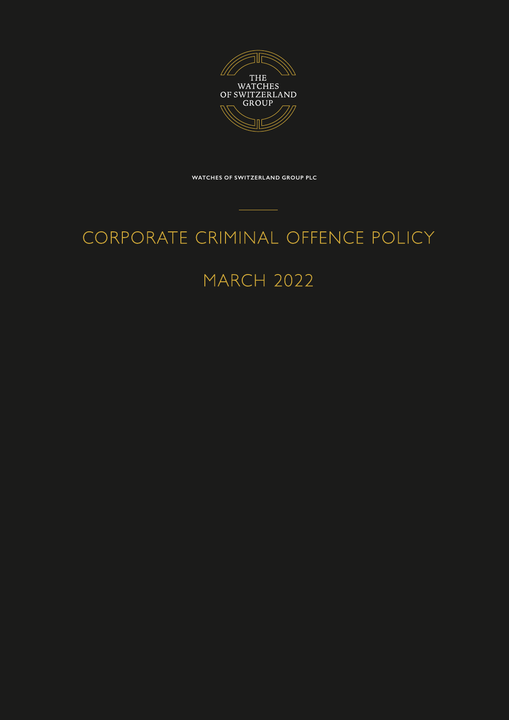

**WATCHES OF SWITZERLAND GROUP PLC**

# CORPORATE CRIMINAL OFFENCE POLICY

# MARCH 2022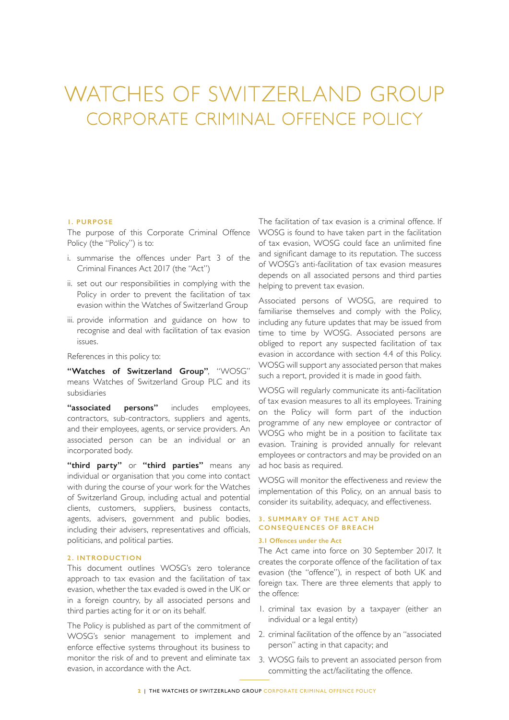# WATCHES OF SWITZERLAND GROUP CORPORATE CRIMINAL OFFENCE POLICY

## **1. PURPOSE**

The purpose of this Corporate Criminal Offence Policy (the "Policy") is to:

- i. summarise the offences under Part 3 of the Criminal Finances Act 2017 (the "Act")
- ii. set out our responsibilities in complying with the Policy in order to prevent the facilitation of tax evasion within the Watches of Switzerland Group
- iii. provide information and guidance on how to recognise and deal with facilitation of tax evasion issues.

References in this policy to:

**"Watches of Switzerland Group"**, "WOSG" means Watches of Switzerland Group PLC and its subsidiaries

**"associated persons"** includes employees, contractors, sub-contractors, suppliers and agents, and their employees, agents, or service providers. An associated person can be an individual or an incorporated body.

**"third party"** or **"third parties"** means any individual or organisation that you come into contact with during the course of your work for the Watches of Switzerland Group, including actual and potential clients, customers, suppliers, business contacts, agents, advisers, government and public bodies, including their advisers, representatives and officials, politicians, and political parties.

## **2. INTRODUCTION**

This document outlines WOSG's zero tolerance approach to tax evasion and the facilitation of tax evasion, whether the tax evaded is owed in the UK or in a foreign country, by all associated persons and third parties acting for it or on its behalf.

The Policy is published as part of the commitment of WOSG's senior management to implement and enforce effective systems throughout its business to monitor the risk of and to prevent and eliminate tax evasion, in accordance with the Act.

The facilitation of tax evasion is a criminal offence. If WOSG is found to have taken part in the facilitation of tax evasion, WOSG could face an unlimited fine and significant damage to its reputation. The success of WOSG's anti-facilitation of tax evasion measures depends on all associated persons and third parties helping to prevent tax evasion.

Associated persons of WOSG, are required to familiarise themselves and comply with the Policy, including any future updates that may be issued from time to time by WOSG. Associated persons are obliged to report any suspected facilitation of tax evasion in accordance with section 4.4 of this Policy. WOSG will support any associated person that makes such a report, provided it is made in good faith.

WOSG will regularly communicate its anti-facilitation of tax evasion measures to all its employees. Training on the Policy will form part of the induction programme of any new employee or contractor of WOSG who might be in a position to facilitate tax evasion. Training is provided annually for relevant employees or contractors and may be provided on an ad hoc basis as required.

WOSG will monitor the effectiveness and review the implementation of this Policy, on an annual basis to consider its suitability, adequacy, and effectiveness.

# **3. SUMMARY OF THE ACT AND CONSEQUENCES OF BREACH**

#### **3.1 Offences under the Act**

The Act came into force on 30 September 2017. It creates the corporate offence of the facilitation of tax evasion (the "offence"), in respect of both UK and foreign tax. There are three elements that apply to the offence:

- 1. criminal tax evasion by a taxpayer (either an individual or a legal entity)
- 2. criminal facilitation of the offence by an "associated person" acting in that capacity; and
- 3. WOSG fails to prevent an associated person from committing the act/facilitating the offence.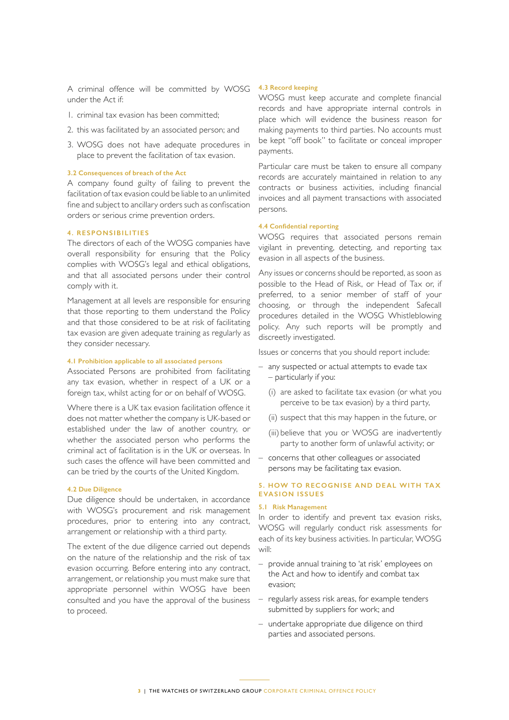A criminal offence will be committed by WOSG under the Act if:

- 1. criminal tax evasion has been committed;
- 2. this was facilitated by an associated person; and
- 3. WOSG does not have adequate procedures in place to prevent the facilitation of tax evasion.

#### **3.2 Consequences of breach of the Act**

A company found guilty of failing to prevent the facilitation of tax evasion could be liable to an unlimited fine and subject to ancillary orders such as confiscation orders or serious crime prevention orders.

#### **4. RESPONSIBILITIES**

The directors of each of the WOSG companies have overall responsibility for ensuring that the Policy complies with WOSG's legal and ethical obligations, and that all associated persons under their control comply with it.

Management at all levels are responsible for ensuring that those reporting to them understand the Policy and that those considered to be at risk of facilitating tax evasion are given adequate training as regularly as they consider necessary.

#### **4.1 Prohibition applicable to all associated persons**

Associated Persons are prohibited from facilitating any tax evasion, whether in respect of a UK or a foreign tax, whilst acting for or on behalf of WOSG.

Where there is a UK tax evasion facilitation offence it does not matter whether the company is UK-based or established under the law of another country, or whether the associated person who performs the criminal act of facilitation is in the UK or overseas. In such cases the offence will have been committed and can be tried by the courts of the United Kingdom.

#### **4.2 Due Diligence**

Due diligence should be undertaken, in accordance with WOSG's procurement and risk management procedures, prior to entering into any contract, arrangement or relationship with a third party.

The extent of the due diligence carried out depends on the nature of the relationship and the risk of tax evasion occurring. Before entering into any contract, arrangement, or relationship you must make sure that appropriate personnel within WOSG have been consulted and you have the approval of the business to proceed.

#### **4.3 Record keeping**

WOSG must keep accurate and complete financial records and have appropriate internal controls in place which will evidence the business reason for making payments to third parties. No accounts must be kept "off book" to facilitate or conceal improper payments.

Particular care must be taken to ensure all company records are accurately maintained in relation to any contracts or business activities, including financial invoices and all payment transactions with associated persons.

#### **4.4 Confidential reporting**

WOSG requires that associated persons remain vigilant in preventing, detecting, and reporting tax evasion in all aspects of the business.

Any issues or concerns should be reported, as soon as possible to the Head of Risk, or Head of Tax or, if preferred, to a senior member of staff of your choosing, or through the independent Safecall procedures detailed in the WOSG Whistleblowing policy. Any such reports will be promptly and discreetly investigated.

Issues or concerns that you should report include:

- any suspected or actual attempts to evade tax – particularly if you:
	- (i) are asked to facilitate tax evasion (or what you perceive to be tax evasion) by a third party,
	- (ii) suspect that this may happen in the future, or
	- (iii) believe that you or WOSG are inadvertently party to another form of unlawful activity; or
- concerns that other colleagues or associated persons may be facilitating tax evasion.

## **5. HOW TO RECOGNISE AND DEAL WITH TA X EVASION ISSUES**

#### **5.1 Risk Management**

In order to identify and prevent tax evasion risks, WOSG will regularly conduct risk assessments for each of its key business activities. In particular, WOSG will:

- provide annual training to 'at risk' employees on the Act and how to identify and combat tax evasion;
- regularly assess risk areas, for example tenders submitted by suppliers for work; and
- undertake appropriate due diligence on third parties and associated persons.